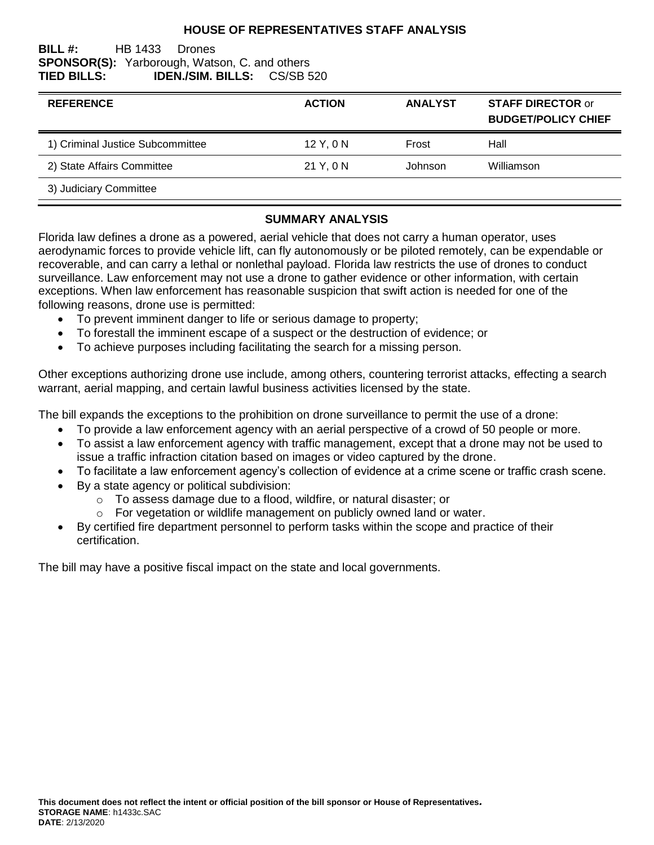## **HOUSE OF REPRESENTATIVES STAFF ANALYSIS**

#### **BILL #:** HB 1433 Drones **SPONSOR(S):** Yarborough, Watson, C. and others **TIED BILLS: IDEN./SIM. BILLS:** CS/SB 520

| <b>REFERENCE</b>                 | <b>ACTION</b> | <b>ANALYST</b> | <b>STAFF DIRECTOR or</b><br><b>BUDGET/POLICY CHIEF</b> |
|----------------------------------|---------------|----------------|--------------------------------------------------------|
| 1) Criminal Justice Subcommittee | $12$ Y, 0 N   | Frost          | Hall                                                   |
| 2) State Affairs Committee       | 21 Y. 0 N     | Johnson        | Williamson                                             |
| 3) Judiciary Committee           |               |                |                                                        |

### **SUMMARY ANALYSIS**

Florida law defines a drone as a powered, aerial vehicle that does not carry a human operator, uses aerodynamic forces to provide vehicle lift, can fly autonomously or be piloted remotely, can be expendable or recoverable, and can carry a lethal or nonlethal payload. Florida law restricts the use of drones to conduct surveillance. Law enforcement may not use a drone to gather evidence or other information, with certain exceptions. When law enforcement has reasonable suspicion that swift action is needed for one of the following reasons, drone use is permitted:

- To prevent imminent danger to life or serious damage to property;
- To forestall the imminent escape of a suspect or the destruction of evidence; or
- To achieve purposes including facilitating the search for a missing person.

Other exceptions authorizing drone use include, among others, countering terrorist attacks, effecting a search warrant, aerial mapping, and certain lawful business activities licensed by the state.

The bill expands the exceptions to the prohibition on drone surveillance to permit the use of a drone:

- To provide a law enforcement agency with an aerial perspective of a crowd of 50 people or more.
- To assist a law enforcement agency with traffic management, except that a drone may not be used to issue a traffic infraction citation based on images or video captured by the drone.
- To facilitate a law enforcement agency's collection of evidence at a crime scene or traffic crash scene.
- By a state agency or political subdivision:
	- o To assess damage due to a flood, wildfire, or natural disaster; or
	- o For vegetation or wildlife management on publicly owned land or water.
- By certified fire department personnel to perform tasks within the scope and practice of their certification.

The bill may have a positive fiscal impact on the state and local governments.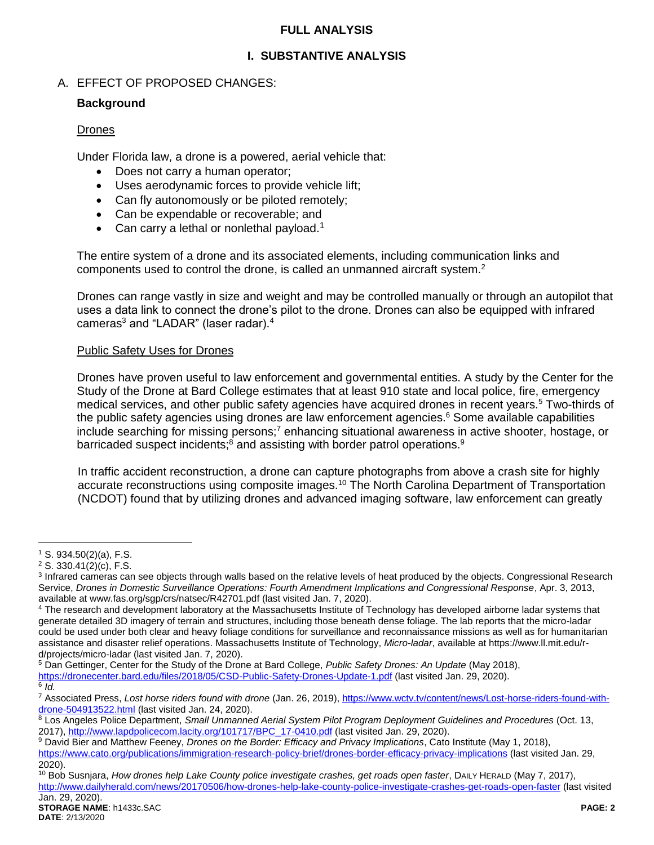## **FULL ANALYSIS**

# **I. SUBSTANTIVE ANALYSIS**

## A. EFFECT OF PROPOSED CHANGES:

## **Background**

## Drones

Under Florida law, a drone is a powered, aerial vehicle that:

- Does not carry a human operator;
- Uses aerodynamic forces to provide vehicle lift;
- Can fly autonomously or be piloted remotely;
- Can be expendable or recoverable; and
- Can carry a lethal or nonlethal payload.<sup>1</sup>

The entire system of a drone and its associated elements, including communication links and components used to control the drone, is called an unmanned aircraft system.<sup>2</sup>

Drones can range vastly in size and weight and may be controlled manually or through an autopilot that uses a data link to connect the drone's pilot to the drone. Drones can also be equipped with infrared cameras<sup>3</sup> and "LADAR" (laser radar).<sup>4</sup>

### Public Safety Uses for Drones

Drones have proven useful to law enforcement and governmental entities. A study by the Center for the Study of the Drone at Bard College estimates that at least 910 state and local police, fire, emergency medical services, and other public safety agencies have acquired drones in recent years.<sup>5</sup> Two-thirds of the public safety agencies using drones are law enforcement agencies.<sup>6</sup> Some available capabilities include searching for missing persons;<sup>7</sup> enhancing situational awareness in active shooter, hostage, or barricaded suspect incidents;<sup>8</sup> and assisting with border patrol operations.<sup>9</sup>

In traffic accident reconstruction, a drone can capture photographs from above a crash site for highly accurate reconstructions using composite images.<sup>10</sup> The North Carolina Department of Transportation (NCDOT) found that by utilizing drones and advanced imaging software, law enforcement can greatly

<sup>5</sup> Dan Gettinger, Center for the Study of the Drone at Bard College, *Public Safety Drones: An Update* (May 2018), <https://dronecenter.bard.edu/files/2018/05/CSD-Public-Safety-Drones-Update-1.pdf> (last visited Jan. 29, 2020). 6 *Id.*

 $\overline{a}$ <sup>1</sup> S. 934.50(2)(a), F.S.

<sup>2</sup> S. 330.41(2)(c), F.S.

<sup>&</sup>lt;sup>3</sup> Infrared cameras can see objects through walls based on the relative levels of heat produced by the objects. Congressional Research Service, *Drones in Domestic Surveillance Operations: Fourth Amendment Implications and Congressional Response*, Apr. 3, 2013, available at www.fas.org/sgp/crs/natsec/R42701.pdf (last visited Jan. 7, 2020).

<sup>4</sup> The research and development laboratory at the Massachusetts Institute of Technology has developed airborne ladar systems that generate detailed 3D imagery of terrain and structures, including those beneath dense foliage. The lab reports that the micro-ladar could be used under both clear and heavy foliage conditions for surveillance and reconnaissance missions as well as for humanitarian assistance and disaster relief operations. Massachusetts Institute of Technology, *Micro-ladar*, available at https://www.ll.mit.edu/rd/projects/micro-ladar (last visited Jan. 7, 2020).

<sup>&</sup>lt;sup>7</sup> Associated Press, Lost horse riders found with drone (Jan. 26, 2019)[, https://www.wctv.tv/content/news/Lost-horse-riders-found-with](https://www.wctv.tv/content/news/Lost-horse-riders-found-with-drone-504913522.html)[drone-504913522.html](https://www.wctv.tv/content/news/Lost-horse-riders-found-with-drone-504913522.html) (last visited Jan. 24, 2020).

<sup>8</sup> Los Angeles Police Department, *Small Unmanned Aerial System Pilot Program Deployment Guidelines and Procedures* (Oct. 13, 2017), [http://www.lapdpolicecom.lacity.org/101717/BPC\\_17-0410.pdf](http://www.lapdpolicecom.lacity.org/101717/BPC_17-0410.pdf) (last visited Jan. 29, 2020).

<sup>9</sup> David Bier and Matthew Feeney, *Drones on the Border: Efficacy and Privacy Implications*, Cato Institute (May 1, 2018), <https://www.cato.org/publications/immigration-research-policy-brief/drones-border-efficacy-privacy-implications> (last visited Jan. 29, 2020).

<sup>10</sup> Bob Susnjara, *How drones help Lake County police investigate crashes, get roads open faster*, DAILY HERALD (May 7, 2017), <http://www.dailyherald.com/news/20170506/how-drones-help-lake-county-police-investigate-crashes-get-roads-open-faster> (last visited Jan. 29, 2020).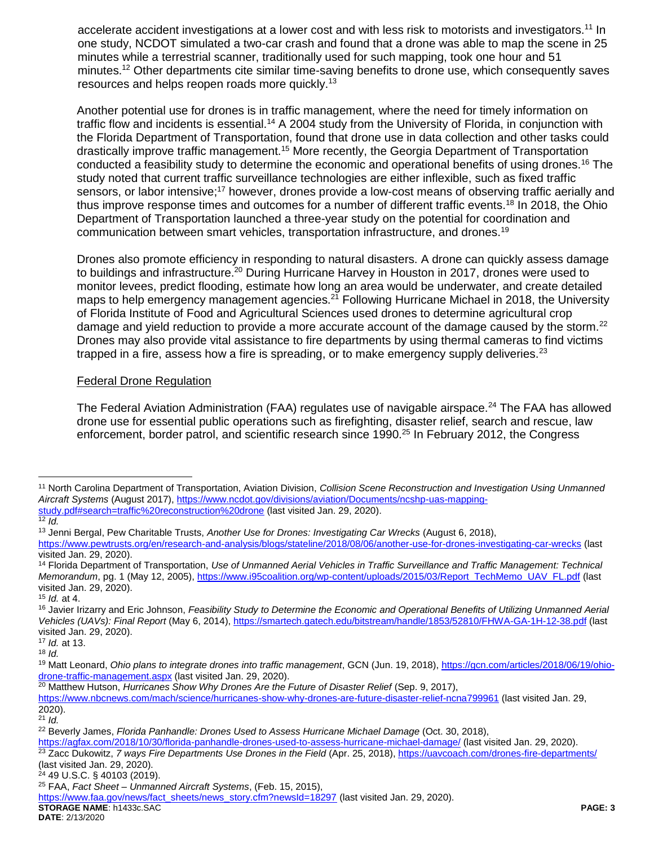accelerate accident investigations at a lower cost and with less risk to motorists and investigators.<sup>11</sup> In one study, NCDOT simulated a two-car crash and found that a drone was able to map the scene in 25 minutes while a terrestrial scanner, traditionally used for such mapping, took one hour and 51 minutes.<sup>12</sup> Other departments cite similar time-saving benefits to drone use, which consequently saves resources and helps reopen roads more quickly.<sup>13</sup>

Another potential use for drones is in traffic management, where the need for timely information on traffic flow and incidents is essential.<sup>14</sup> A 2004 study from the University of Florida, in conjunction with the Florida Department of Transportation, found that drone use in data collection and other tasks could drastically improve traffic management.<sup>15</sup> More recently, the Georgia Department of Transportation conducted a feasibility study to determine the economic and operational benefits of using drones.<sup>16</sup> The study noted that current traffic surveillance technologies are either inflexible, such as fixed traffic sensors, or labor intensive;<sup>17</sup> however, drones provide a low-cost means of observing traffic aerially and thus improve response times and outcomes for a number of different traffic events.<sup>18</sup> In 2018, the Ohio Department of Transportation launched a three-year study on the potential for coordination and communication between smart vehicles, transportation infrastructure, and drones.<sup>19</sup>

Drones also promote efficiency in responding to natural disasters. A drone can quickly assess damage to buildings and infrastructure.<sup>20</sup> During Hurricane Harvey in Houston in 2017, drones were used to monitor levees, predict flooding, estimate how long an area would be underwater, and create detailed maps to help emergency management agencies.<sup>21</sup> Following Hurricane Michael in 2018, the University of Florida Institute of Food and Agricultural Sciences used drones to determine agricultural crop damage and yield reduction to provide a more accurate account of the damage caused by the storm.<sup>22</sup> Drones may also provide vital assistance to fire departments by using thermal cameras to find victims trapped in a fire, assess how a fire is spreading, or to make emergency supply deliveries.<sup>23</sup>

### Federal Drone Regulation

The Federal Aviation Administration (FAA) regulates use of navigable airspace.<sup>24</sup> The FAA has allowed drone use for essential public operations such as firefighting, disaster relief, search and rescue, law enforcement, border patrol, and scientific research since 1990.<sup>25</sup> In February 2012, the Congress

 $\overline{a}$ 

<sup>20</sup> Matthew Hutson, *Hurricanes Show Why Drones Are the Future of Disaster Relief* (Sep. 9, 2017),

<sup>11</sup> North Carolina Department of Transportation, Aviation Division, *Collision Scene Reconstruction and Investigation Using Unmanned Aircraft Systems* (August 2017)[, https://www.ncdot.gov/divisions/aviation/Documents/ncshp-uas-mapping](https://www.ncdot.gov/divisions/aviation/Documents/ncshp-uas-mapping-study.pdf#search=traffic%20reconstruction%20drone)[study.pdf#search=traffic%20reconstruction%20drone](https://www.ncdot.gov/divisions/aviation/Documents/ncshp-uas-mapping-study.pdf#search=traffic%20reconstruction%20drone) (last visited Jan. 29, 2020).

 $\overline{12}$  *Id.* 

<sup>13</sup> Jenni Bergal, Pew Charitable Trusts, *Another Use for Drones: Investigating Car Wrecks* (August 6, 2018),

<https://www.pewtrusts.org/en/research-and-analysis/blogs/stateline/2018/08/06/another-use-for-drones-investigating-car-wrecks> (last visited Jan. 29, 2020).

<sup>14</sup> Florida Department of Transportation, *Use of Unmanned Aerial Vehicles in Traffic Surveillance and Traffic Management: Technical Memorandum*, pg. 1 (May 12, 2005)[, https://www.i95coalition.org/wp-content/uploads/2015/03/Report\\_TechMemo\\_UAV\\_FL.pdf](https://www.i95coalition.org/wp-content/uploads/2015/03/Report_TechMemo_UAV_FL.pdf) (last visited Jan. 29, 2020). <sup>15</sup> *Id.* at 4.

<sup>&</sup>lt;sup>16</sup> Javier Irizarry and Eric Johnson, *Feasibility Study to Determine the Economic and Operational Benefits of Utilizing Unmanned Aerial Vehicles (UAVs): Final Report* (May 6, 2014)[, https://smartech.gatech.edu/bitstream/handle/1853/52810/FHWA-GA-1H-12-38.pdf](https://smartech.gatech.edu/bitstream/handle/1853/52810/FHWA-GA-1H-12-38.pdf) (last visited Jan. 29, 2020).

<sup>17</sup> *Id.* at 13.  $18$  *Id.* 

<sup>&</sup>lt;sup>19</sup> Matt Leonard, *Ohio plans to integrate drones into traffic management*, GCN (Jun. 19, 2018), [https://gcn.com/articles/2018/06/19/ohio](https://gcn.com/articles/2018/06/19/ohio-drone-traffic-management.aspx)[drone-traffic-management.aspx](https://gcn.com/articles/2018/06/19/ohio-drone-traffic-management.aspx) (last visited Jan. 29, 2020).

<https://www.nbcnews.com/mach/science/hurricanes-show-why-drones-are-future-disaster-relief-ncna799961> (last visited Jan. 29, 2020).

<sup>21</sup> *Id.*

<sup>22</sup> Beverly James, *Florida Panhandle: Drones Used to Assess Hurricane Michael Damage* (Oct. 30, 2018),

<https://agfax.com/2018/10/30/florida-panhandle-drones-used-to-assess-hurricane-michael-damage/> (last visited Jan. 29, 2020). <sup>23</sup> Zacc Dukowitz, *7 ways Fire Departments Use Drones in the Field* (Apr. 25, 2018),<https://uavcoach.com/drones-fire-departments/> (last visited Jan. 29, 2020).

<sup>24</sup> 49 U.S.C. § 40103 (2019).

<sup>25</sup> FAA, *Fact Sheet – Unmanned Aircraft Systems*, (Feb. 15, 2015),

**STORAGE NAME**: h1433c.SAC **PAGE: 3** [https://www.faa.gov/news/fact\\_sheets/news\\_story.cfm?newsId=18297](https://www.faa.gov/news/fact_sheets/news_story.cfm?newsId=18297) (last visited Jan. 29, 2020).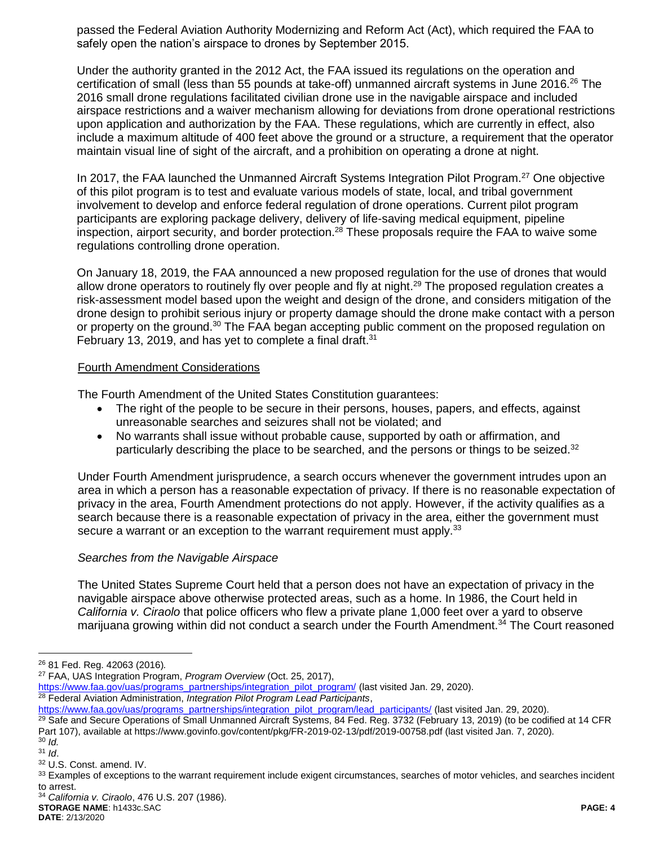passed the Federal Aviation Authority Modernizing and Reform Act (Act), which required the FAA to safely open the nation's airspace to drones by September 2015.

Under the authority granted in the 2012 Act, the FAA issued its regulations on the operation and certification of small (less than 55 pounds at take-off) unmanned aircraft systems in June 2016.<sup>26</sup> The 2016 small drone regulations facilitated civilian drone use in the navigable airspace and included airspace restrictions and a waiver mechanism allowing for deviations from drone operational restrictions upon application and authorization by the FAA. These regulations, which are currently in effect, also include a maximum altitude of 400 feet above the ground or a structure, a requirement that the operator maintain visual line of sight of the aircraft, and a prohibition on operating a drone at night.

In 2017, the FAA launched the Unmanned Aircraft Systems Integration Pilot Program.<sup>27</sup> One objective of this pilot program is to test and evaluate various models of state, local, and tribal government involvement to develop and enforce federal regulation of drone operations. Current pilot program participants are exploring package delivery, delivery of life-saving medical equipment, pipeline inspection, airport security, and border protection.<sup>28</sup> These proposals require the FAA to waive some regulations controlling drone operation.

On January 18, 2019, the FAA announced a new proposed regulation for the use of drones that would allow drone operators to routinely fly over people and fly at night.<sup>29</sup> The proposed regulation creates a risk-assessment model based upon the weight and design of the drone, and considers mitigation of the drone design to prohibit serious injury or property damage should the drone make contact with a person or property on the ground.<sup>30</sup> The FAA began accepting public comment on the proposed regulation on February 13, 2019, and has yet to complete a final draft.<sup>31</sup>

#### Fourth Amendment Considerations

The Fourth Amendment of the United States Constitution guarantees:

- The right of the people to be secure in their persons, houses, papers, and effects, against unreasonable searches and seizures shall not be violated; and
- No warrants shall issue without probable cause, supported by oath or affirmation, and particularly describing the place to be searched, and the persons or things to be seized.<sup>32</sup>

Under Fourth Amendment jurisprudence, a search occurs whenever the government intrudes upon an area in which a person has a reasonable expectation of privacy. If there is no reasonable expectation of privacy in the area, Fourth Amendment protections do not apply. However, if the activity qualifies as a search because there is a reasonable expectation of privacy in the area, either the government must secure a warrant or an exception to the warrant requirement must apply.<sup>33</sup>

## *Searches from the Navigable Airspace*

The United States Supreme Court held that a person does not have an expectation of privacy in the navigable airspace above otherwise protected areas, such as a home. In 1986, the Court held in *California v. Ciraolo* that police officers who flew a private plane 1,000 feet over a yard to observe marijuana growing within did not conduct a search under the Fourth Amendment.<sup>34</sup> The Court reasoned

 $\overline{a}$ 

<sup>26</sup> 81 Fed. Reg. 42063 (2016)*.*

<sup>27</sup> FAA, UAS Integration Program, *Program Overview* (Oct. 25, 2017),

[https://www.faa.gov/uas/programs\\_partnerships/integration\\_pilot\\_program/](https://www.faa.gov/uas/programs_partnerships/integration_pilot_program/) (last visited Jan. 29, 2020).

<sup>28</sup> Federal Aviation Administration, *Integration Pilot Program Lead Participants*,

[https://www.faa.gov/uas/programs\\_partnerships/integration\\_pilot\\_program/lead\\_participants/](https://www.faa.gov/uas/programs_partnerships/integration_pilot_program/lead_participants/) (last visited Jan. 29, 2020).

 $\overline{29}$  Safe and Secure Operations of Small Unmanned Aircraft Systems, 84 Fed. Reg. 3732 (February 13, 2019) (to be codified at 14 CFR Part 107), available at https://www.govinfo.gov/content/pkg/FR-2019-02-13/pdf/2019-00758.pdf (last visited Jan. 7, 2020). <sup>30</sup> *Id.*

<sup>31</sup> *Id*.

<sup>32</sup> U.S. Const. amend. IV.

<sup>&</sup>lt;sup>33</sup> Examples of exceptions to the warrant requirement include exigent circumstances, searches of motor vehicles, and searches incident to arrest.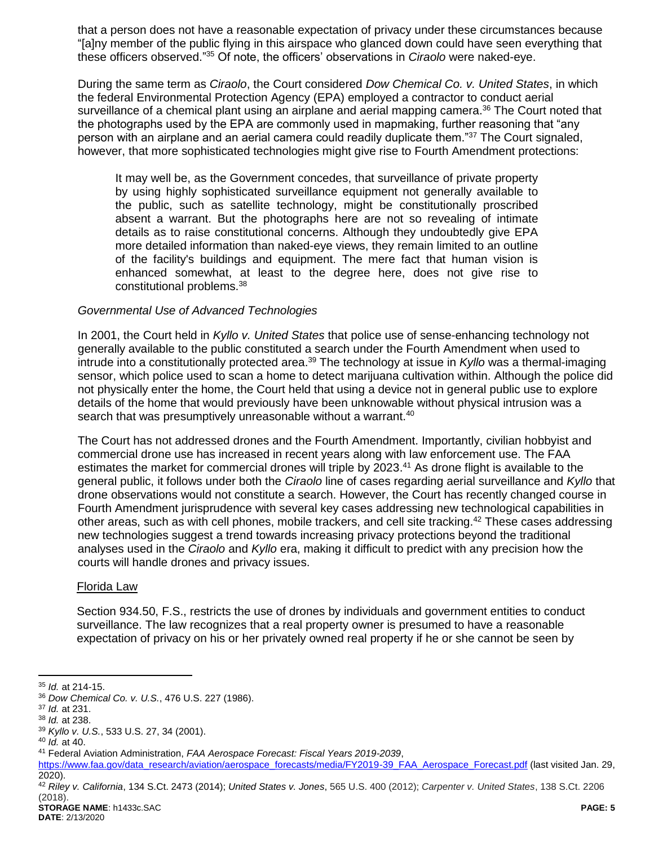that a person does not have a reasonable expectation of privacy under these circumstances because "[a]ny member of the public flying in this airspace who glanced down could have seen everything that these officers observed." <sup>35</sup> Of note, the officers' observations in *Ciraolo* were naked-eye.

During the same term as *Ciraolo*, the Court considered *Dow Chemical Co. v. United States*, in which the federal Environmental Protection Agency (EPA) employed a contractor to conduct aerial surveillance of a chemical plant using an airplane and aerial mapping camera.<sup>36</sup> The Court noted that the photographs used by the EPA are commonly used in mapmaking, further reasoning that "any person with an airplane and an aerial camera could readily duplicate them."<sup>37</sup> The Court signaled, however, that more sophisticated technologies might give rise to Fourth Amendment protections:

It may well be, as the Government concedes, that surveillance of private property by using highly sophisticated surveillance equipment not generally available to the public, such as satellite technology, might be constitutionally proscribed absent a warrant. But the photographs here are not so revealing of intimate details as to raise constitutional concerns. Although they undoubtedly give EPA more detailed information than naked-eye views, they remain limited to an outline of the facility's buildings and equipment. The mere fact that human vision is enhanced somewhat, at least to the degree here, does not give rise to constitutional problems.<sup>38</sup>

### *Governmental Use of Advanced Technologies*

In 2001, the Court held in *Kyllo v. United States* that police use of sense-enhancing technology not generally available to the public constituted a search under the Fourth Amendment when used to intrude into a constitutionally protected area.<sup>39</sup> The technology at issue in *Kyllo* was a thermal-imaging sensor, which police used to scan a home to detect marijuana cultivation within. Although the police did not physically enter the home, the Court held that using a device not in general public use to explore details of the home that would previously have been unknowable without physical intrusion was a search that was presumptively unreasonable without a warrant.<sup>40</sup>

The Court has not addressed drones and the Fourth Amendment. Importantly, civilian hobbyist and commercial drone use has increased in recent years along with law enforcement use. The FAA estimates the market for commercial drones will triple by 2023.<sup>41</sup> As drone flight is available to the general public, it follows under both the *Ciraolo* line of cases regarding aerial surveillance and *Kyllo* that drone observations would not constitute a search. However, the Court has recently changed course in Fourth Amendment jurisprudence with several key cases addressing new technological capabilities in other areas, such as with cell phones, mobile trackers, and cell site tracking.<sup>42</sup> These cases addressing new technologies suggest a trend towards increasing privacy protections beyond the traditional analyses used in the *Ciraolo* and *Kyllo* era, making it difficult to predict with any precision how the courts will handle drones and privacy issues.

#### Florida Law

Section 934.50, F.S., restricts the use of drones by individuals and government entities to conduct surveillance. The law recognizes that a real property owner is presumed to have a reasonable expectation of privacy on his or her privately owned real property if he or she cannot be seen by

 $\overline{a}$ <sup>35</sup> *Id.* at 214-15.

<sup>36</sup> *Dow Chemical Co. v. U.S.*, 476 U.S. 227 (1986).

<sup>37</sup> *Id.* at 231.

<sup>38</sup> *Id.* at 238.

<sup>39</sup> *Kyllo v. U.S.*, 533 U.S. 27, 34 (2001).

<sup>40</sup> *Id.* at 40.

<sup>41</sup> Federal Aviation Administration, *FAA Aerospace Forecast: Fiscal Years 2019-2039*,

[https://www.faa.gov/data\\_research/aviation/aerospace\\_forecasts/media/FY2019-39\\_FAA\\_Aerospace\\_Forecast.pdf](https://www.faa.gov/data_research/aviation/aerospace_forecasts/media/FY2019-39_FAA_Aerospace_Forecast.pdf) (last visited Jan. 29, 2020).

**STORAGE NAME**: h1433c.SAC **PAGE: 5** <sup>42</sup> *Riley v. California*, 134 S.Ct. 2473 (2014); *United States v. Jones*, 565 U.S. 400 (2012); *Carpenter v. United States*, 138 S.Ct. 2206 (2018).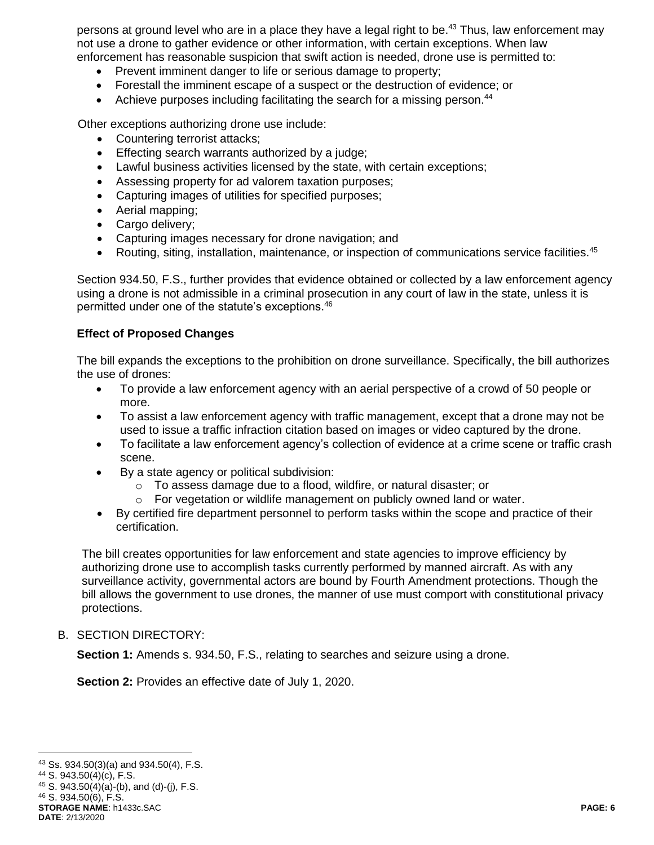persons at ground level who are in a place they have a legal right to be.<sup>43</sup> Thus, law enforcement may not use a drone to gather evidence or other information, with certain exceptions. When law enforcement has reasonable suspicion that swift action is needed, drone use is permitted to:

- Prevent imminent danger to life or serious damage to property;
- Forestall the imminent escape of a suspect or the destruction of evidence; or
- Achieve purposes including facilitating the search for a missing person.<sup>44</sup>

Other exceptions authorizing drone use include:

- Countering terrorist attacks;
- Effecting search warrants authorized by a judge;
- Lawful business activities licensed by the state, with certain exceptions;
- Assessing property for ad valorem taxation purposes;
- Capturing images of utilities for specified purposes;
- Aerial mapping;
- Cargo delivery;
- Capturing images necessary for drone navigation; and
- Routing, siting, installation, maintenance, or inspection of communications service facilities.<sup>45</sup>

Section 934.50, F.S., further provides that evidence obtained or collected by a law enforcement agency using a drone is not admissible in a criminal prosecution in any court of law in the state, unless it is permitted under one of the statute's exceptions.<sup>46</sup>

# **Effect of Proposed Changes**

The bill expands the exceptions to the prohibition on drone surveillance. Specifically, the bill authorizes the use of drones:

- To provide a law enforcement agency with an aerial perspective of a crowd of 50 people or more.
- To assist a law enforcement agency with traffic management, except that a drone may not be used to issue a traffic infraction citation based on images or video captured by the drone.
- To facilitate a law enforcement agency's collection of evidence at a crime scene or traffic crash scene.
- By a state agency or political subdivision:
	- o To assess damage due to a flood, wildfire, or natural disaster; or
	- o For vegetation or wildlife management on publicly owned land or water.
- By certified fire department personnel to perform tasks within the scope and practice of their certification.

The bill creates opportunities for law enforcement and state agencies to improve efficiency by authorizing drone use to accomplish tasks currently performed by manned aircraft. As with any surveillance activity, governmental actors are bound by Fourth Amendment protections. Though the bill allows the government to use drones, the manner of use must comport with constitutional privacy protections.

#### B. SECTION DIRECTORY:

**Section 1:** Amends s. 934.50, F.S., relating to searches and seizure using a drone.

**Section 2:** Provides an effective date of July 1, 2020.

 $\overline{a}$ 

 $43$  Ss. 934.50(3)(a) and 934.50(4), F.S.

<sup>44</sup> S. 943.50(4)(c), F.S.

 $45$  S. 943.50(4)(a)-(b), and (d)-(j), F.S.

**STORAGE NAME**: h1433c.SAC **PAGE: 6** <sup>46</sup> S. 934.50(6), F.S.